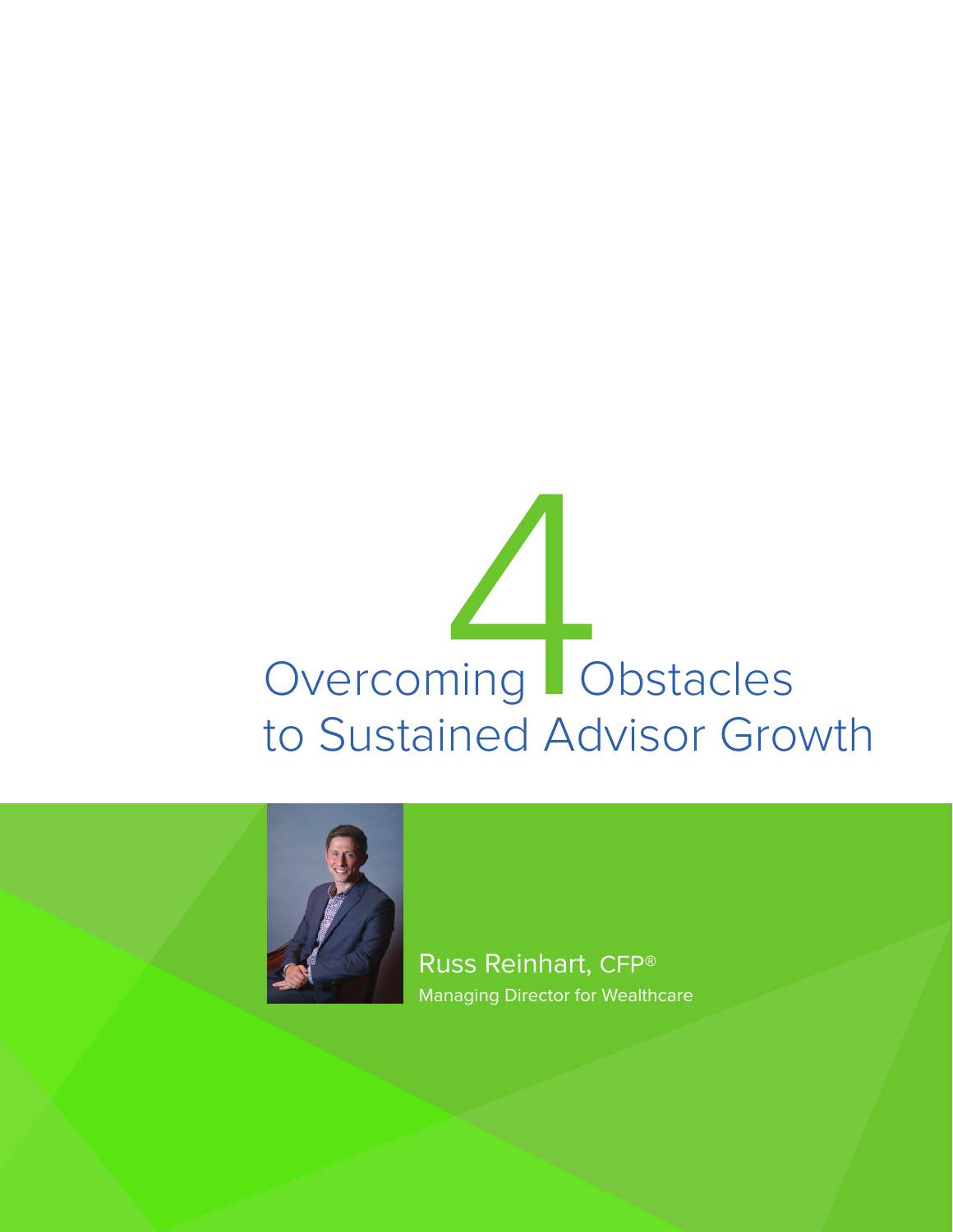



Russ Reinhart, CFP® Managing Director for Wealthcare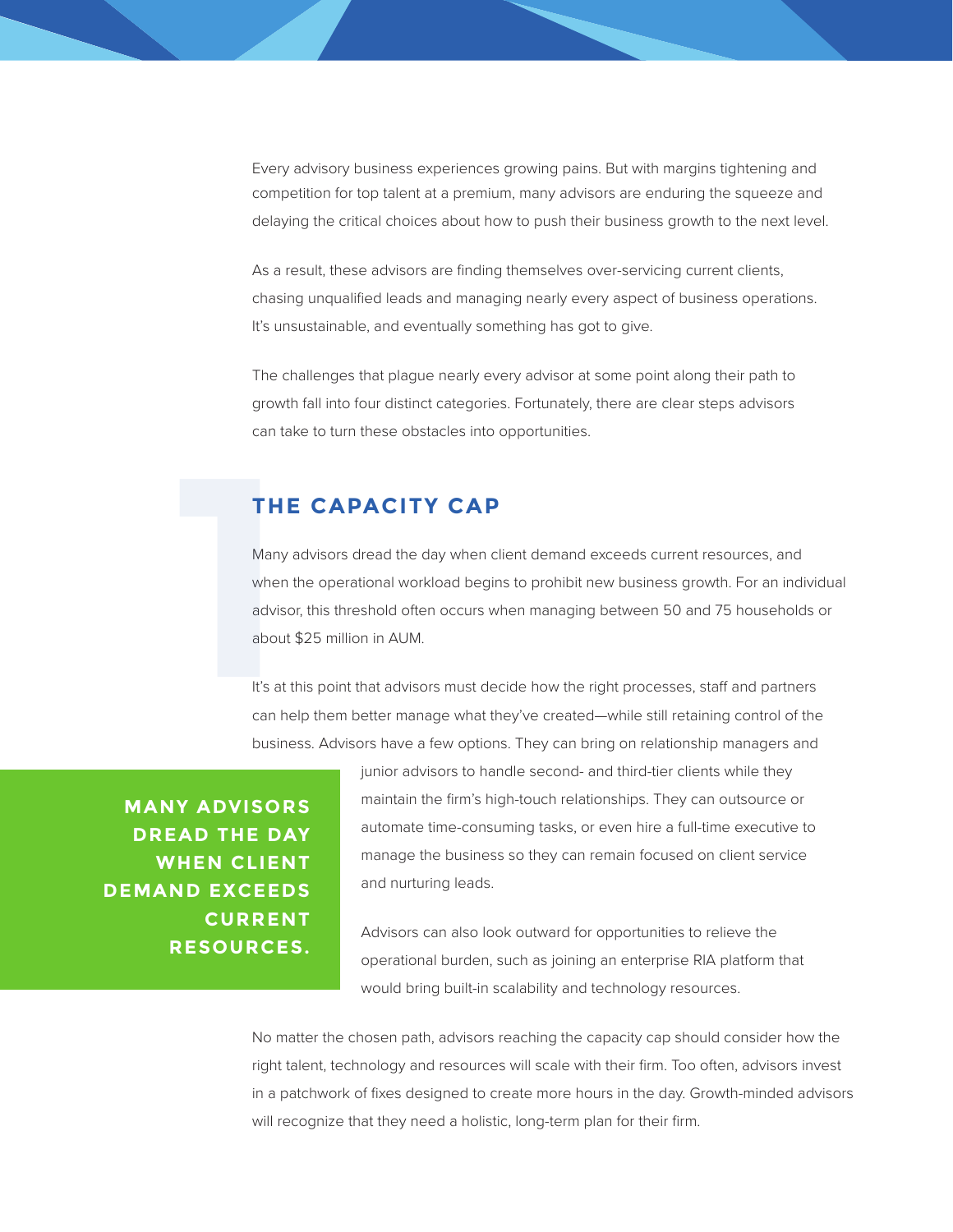Every advisory business experiences growing pains. But with margins tightening and competition for top talent at a premium, many advisors are enduring the squeeze and delaying the critical choices about how to push their business growth to the next level.

As a result, these advisors are finding themselves over-servicing current clients, chasing unqualified leads and managing nearly every aspect of business operations. It's unsustainable, and eventually something has got to give.

The challenges that plague nearly every advisor at some point along their path to growth fall into four distinct categories. Fortunately, there are clear steps advisors can take to turn these obstacles into opportunities.

# **THE CAPACITY CAP**

Many advisors dread the day when client demand exceeds current resources, and when the operational workload begins to prohibit new business growth. For an individual advisor, this threshold often occurs when managing between 50 and 75 households or about \$25 million in AUM. **114**<br>
Many<br>
wher<br>
advis<br>
abou<br>
It's at<br>
can *b* 

It's at this point that advisors must decide how the right processes, staff and partners can help them better manage what they've created—while still retaining control of the business. Advisors have a few options. They can bring on relationship managers and

**MANY ADVISORS DREAD THE DAY WHEN CLIENT DEMAND EXCEEDS CURRENT RESOURCES.** junior advisors to handle second- and third-tier clients while they maintain the firm's high-touch relationships. They can outsource or automate time-consuming tasks, or even hire a full-time executive to manage the business so they can remain focused on client service and nurturing leads.

Advisors can also look outward for opportunities to relieve the operational burden, such as joining an enterprise RIA platform that would bring built-in scalability and technology resources.

No matter the chosen path, advisors reaching the capacity cap should consider how the right talent, technology and resources will scale with their firm. Too often, advisors invest in a patchwork of fixes designed to create more hours in the day. Growth-minded advisors will recognize that they need a holistic, long-term plan for their firm.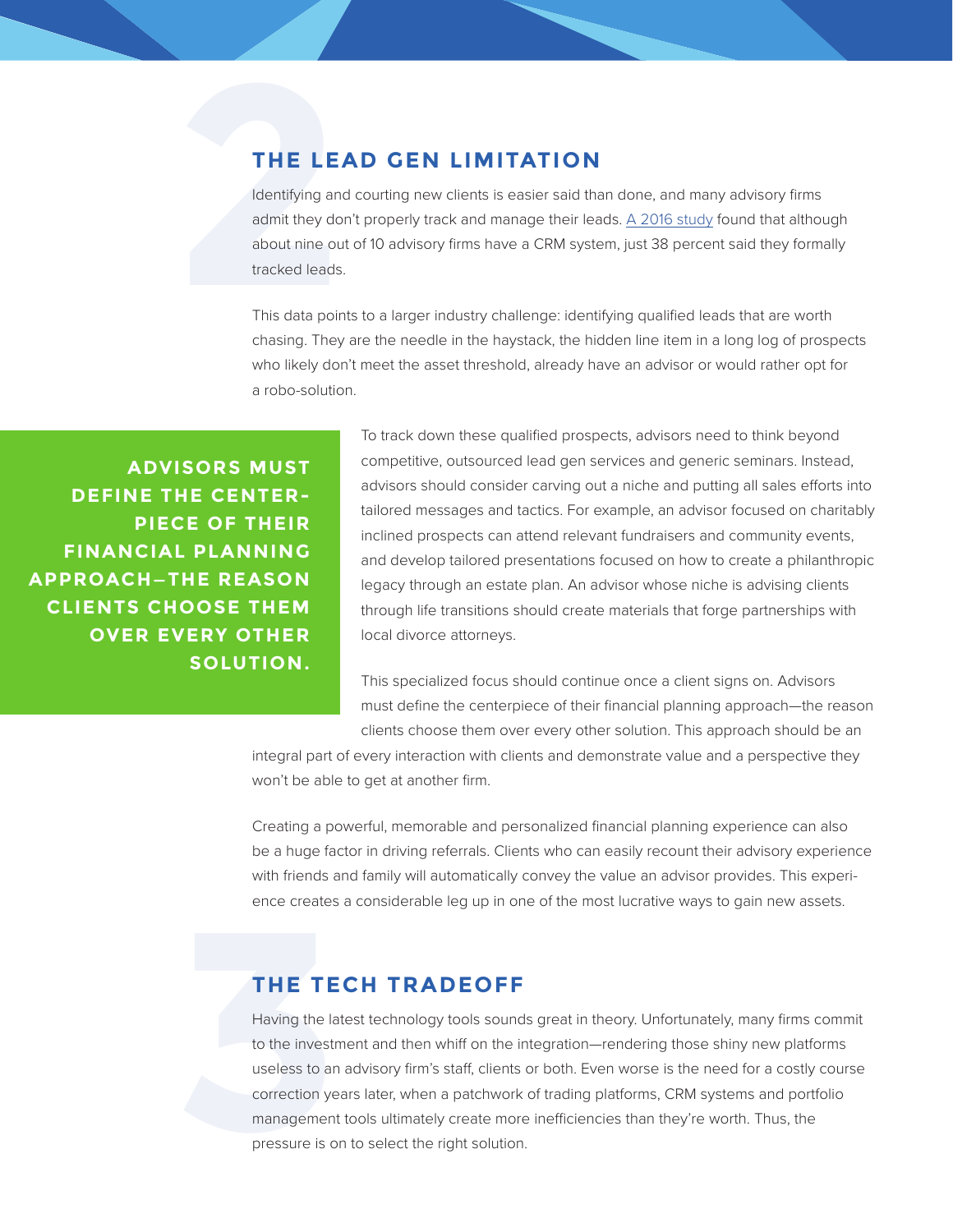## **THE LEAD GEN LIMITATION**

**2**  Identifying and courting new clients is easier said than done, and many advisory firms admit they don't properly track and manage their leads. A 2016 study found that although about nine out of 10 advisory firms have a CRM system, just 38 percent said they formally tracked leads.

This data points to a larger industry challenge: identifying qualified leads that are worth chasing. They are the needle in the haystack, the hidden line item in a long log of prospects who likely don't meet the asset threshold, already have an advisor or would rather opt for a robo-solution.

**ADVISORS MUST DEFINE THE CENTER-PIECE OF THEIR FINANCIAL PLANNING APPROACH—THE REASON CLIENTS CHOOSE THEM OVER EVERY OTHER SOLUTION.** To track down these qualified prospects, advisors need to think beyond competitive, outsourced lead gen services and generic seminars. Instead, advisors should consider carving out a niche and putting all sales efforts into tailored messages and tactics. For example, an advisor focused on charitably inclined prospects can attend relevant fundraisers and community events, and develop tailored presentations focused on how to create a philanthropic legacy through an estate plan. An advisor whose niche is advising clients through life transitions should create materials that forge partnerships with local divorce attorneys.

This specialized focus should continue once a client signs on. Advisors must define the centerpiece of their financial planning approach—the reason clients choose them over every other solution. This approach should be an

integral part of every interaction with clients and demonstrate value and a perspective they won't be able to get at another firm.

Creating a powerful, memorable and personalized financial planning experience can also be a huge factor in driving referrals. Clients who can easily recount their advisory experience with friends and family will automatically convey the value an advisor provides. This experience creates a considerable leg up in one of the most lucrative ways to gain new assets.

## **THE TECH TRADEOFF**

**THE TECH TR**<br>Having the latest techno<br>to the investment and the<br>useless to an advisory fire<br>correction years later, wh<br>management tools ultima<br>pressure is on to select t Having the latest technology tools sounds great in theory. Unfortunately, many firms commit to the investment and then whiff on the integration—rendering those shiny new platforms useless to an advisory firm's staff, clients or both. Even worse is the need for a costly course correction years later, when a patchwork of trading platforms, CRM systems and portfolio management tools ultimately create more inefficiencies than they're worth. Thus, the pressure is on to select the right solution.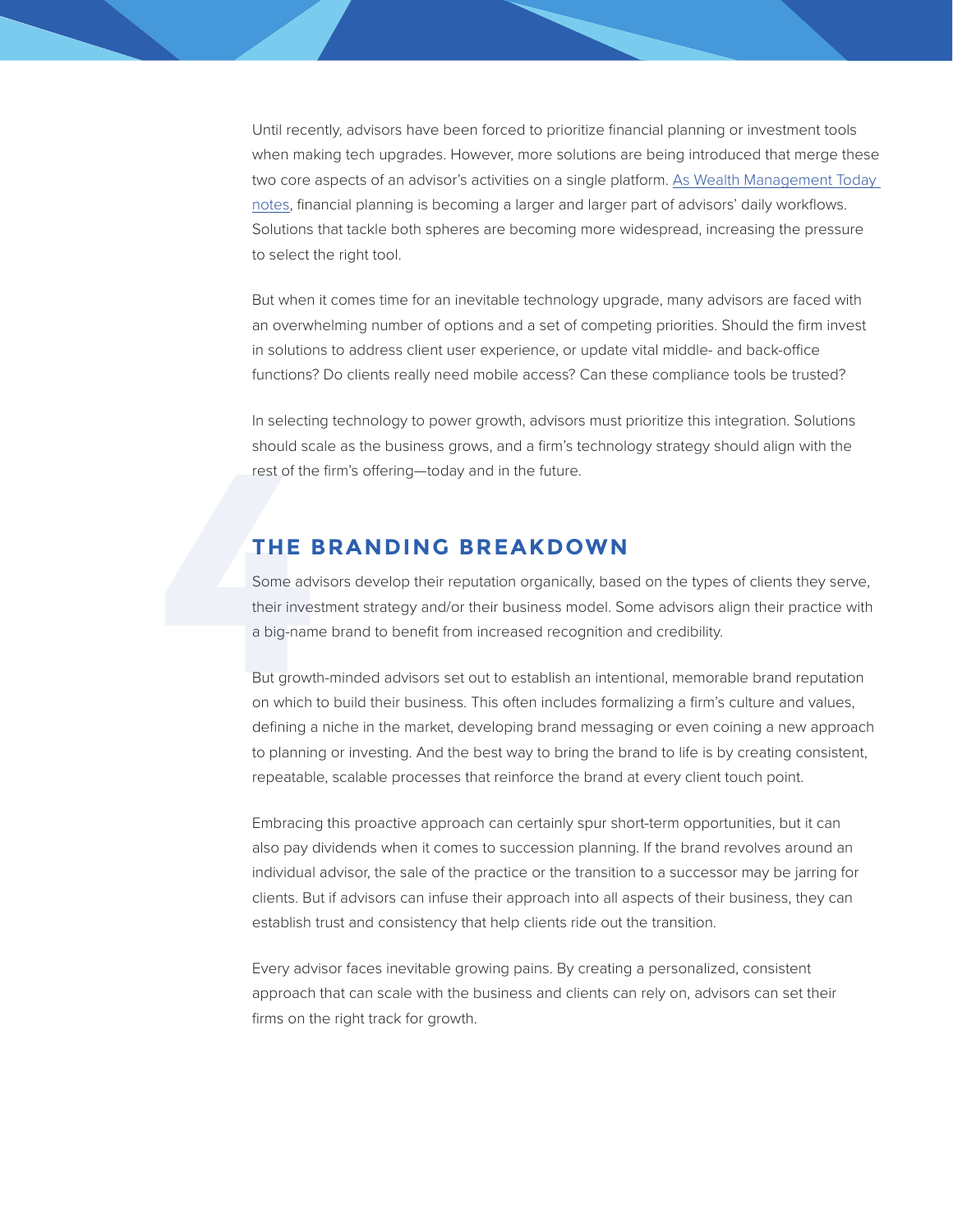Until recently, advisors have been forced to prioritize financial planning or investment tools when making tech upgrades. However, more solutions are being introduced that merge these two core aspects of an advisor's activities on a single platform. As Wealth Management Today notes, financial planning is becoming a larger and larger part of advisors' daily workflows. Solutions that tackle both spheres are becoming more widespread, increasing the pressure to select the right tool.

But when it comes time for an inevitable technology upgrade, many advisors are faced with an overwhelming number of options and a set of competing priorities. Should the firm invest in solutions to address client user experience, or update vital middle- and back-office functions? Do clients really need mobile access? Can these compliance tools be trusted?

In selecting technology to power growth, advisors must prioritize this integration. Solutions should scale as the business grows, and a firm's technology strategy should align with the rest of the firm's offering—today and in the future.

#### **THE BRANDING BREAKDOWN**

Some advisors develop their reputation organically, based on the types of clients they serve, their investment strategy and/or their business model. Some advisors align their practice with a big-name brand to benefit from increased recognition and credibility. Findred School School School School School School School School School School School<br>
4 **4 Proper School School School School School School School School**<br>
4 **Proper School School School School School School School School** 

But growth-minded advisors set out to establish an intentional, memorable brand reputation on which to build their business. This often includes formalizing a firm's culture and values, defining a niche in the market, developing brand messaging or even coining a new approach to planning or investing. And the best way to bring the brand to life is by creating consistent, repeatable, scalable processes that reinforce the brand at every client touch point.

Embracing this proactive approach can certainly spur short-term opportunities, but it can also pay dividends when it comes to succession planning. If the brand revolves around an individual advisor, the sale of the practice or the transition to a successor may be jarring for clients. But if advisors can infuse their approach into all aspects of their business, they can establish trust and consistency that help clients ride out the transition.

Every advisor faces inevitable growing pains. By creating a personalized, consistent approach that can scale with the business and clients can rely on, advisors can set their firms on the right track for growth.